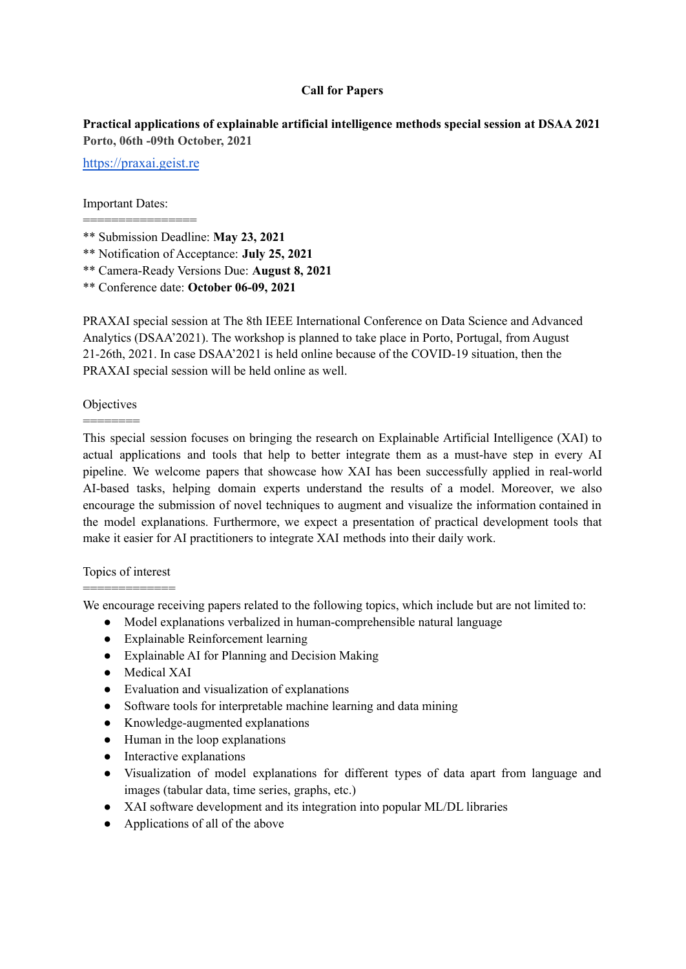### **Call for Papers**

# **Practical applications of explainable artificial intelligence methods special session at DSAA 2021 Porto, 06th -09th October, 2021**

[https://praxai.geist.re](https://sedami.geist.re)

================

### Important Dates:

- \*\* Notification of Acceptance: **July 25, 2021**
- \*\* Camera-Ready Versions Due: **August 8, 2021**
- \*\* Conference date: **October 06-09, 2021**

PRAXAI special session at The 8th IEEE [International](https://dsaa2021.dcc.fc.up.pt/) Conference on Data Science and Advanced [Analytics](https://dsaa2021.dcc.fc.up.pt/) (DSAA'2021). The workshop is planned to take place in Porto, Portugal, from August 21-26th, 2021. In case DSAA'2021 is held online because of the COVID-19 situation, then the PRAXAI special session will be held online as well.

## **Objectives** ========

This special session focuses on bringing the research on Explainable Artificial Intelligence (XAI) to actual applications and tools that help to better integrate them as a must-have step in every AI pipeline. We welcome papers that showcase how XAI has been successfully applied in real-world AI-based tasks, helping domain experts understand the results of a model. Moreover, we also encourage the submission of novel techniques to augment and visualize the information contained in the model explanations. Furthermore, we expect a presentation of practical development tools that make it easier for AI practitioners to integrate XAI methods into their daily work.

## Topics of interest =============

We encourage receiving papers related to the following topics, which include but are not limited to:

- Model explanations verbalized in human-comprehensible natural language
- Explainable Reinforcement learning
- Explainable AI for Planning and Decision Making
- Medical XAI
- Evaluation and visualization of explanations
- Software tools for interpretable machine learning and data mining
- Knowledge-augmented explanations
- Human in the loop explanations
- Interactive explanations
- Visualization of model explanations for different types of data apart from language and images (tabular data, time series, graphs, etc.)
- XAI software development and its integration into popular ML/DL libraries
- Applications of all of the above

<sup>\*\*</sup> Submission Deadline: **May 23, 2021**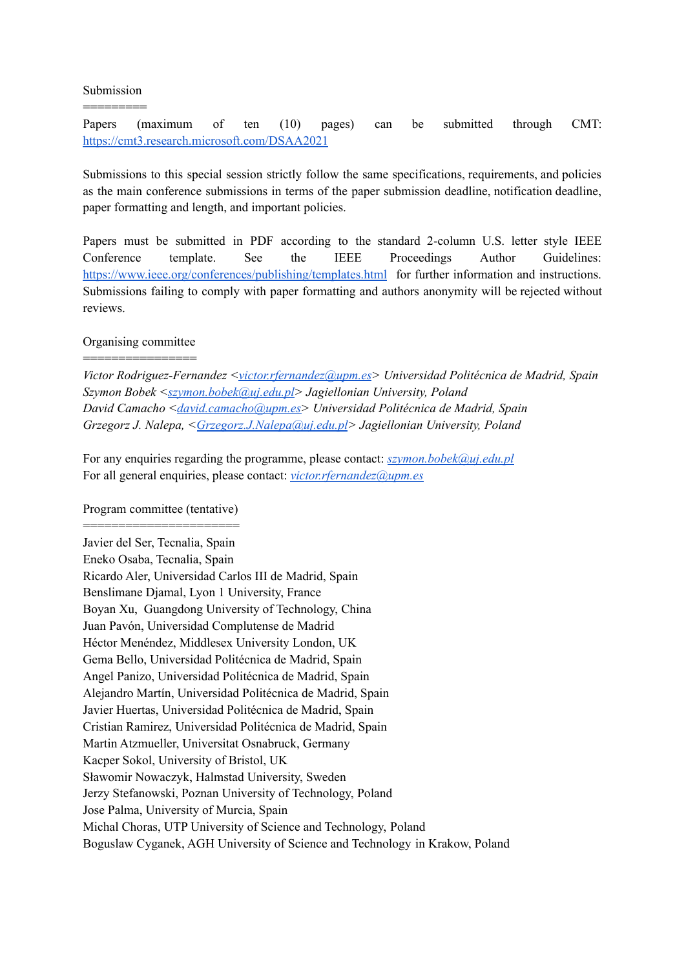Submission =========

Papers (maximum of ten (10) pages) can be submitted through CMT: <https://cmt3.research.microsoft.com/DSAA2021>

Submissions to this special session strictly follow the same specifications, requirements, and policies as the main conference submissions in terms of the paper submission deadline, notification deadline, paper formatting and length, and important policies.

Papers must be submitted in PDF according to the standard 2-column U.S. letter style IEEE Conference template. See the IEEE Proceedings Author Guidelines: <https://www.ieee.org/conferences/publishing/templates.html> for further information and instructions. Submissions failing to comply with paper formatting and authors anonymity will be rejected without reviews.

### Organising committee ================

*Victor Rodriguez-Fernandez [<victor.rfernandez@upm.es](mailto:victor.rfernandez@upm.es)> Universidad Politécnica de Madrid, Spain Szymon Bobek <[szymon.bobek@uj.edu.pl>](mailto:szymon.bobek@uj.edu.pl) Jagiellonian University, Poland David Camacho <[david.camacho@upm.es>](mailto:david.camacho@upm.es) Universidad Politécnica de Madrid, Spain Grzegorz J. Nalepa, <[Grzegorz.J.Nalepa@uj.edu.pl](mailto:Grzegorz.J.Nalepa@uj.edu.pl)> Jagiellonian University, Poland*

For any enquiries regarding the programme, please contact: *[szymon.bobek@uj.edu.pl](mailto:szymon.bobek@uj.edu.pl)* For all general enquiries, please contact: *[victor.rfernandez@upm.es](mailto:victor.rfernandez@upm.es)*

### Program committee (tentative) ============================

Javier del Ser, Tecnalia, Spain Eneko Osaba, Tecnalia, Spain Ricardo Aler, Universidad Carlos III de Madrid, Spain Benslimane Djamal, Lyon 1 University, France Boyan Xu, Guangdong University of Technology, China Juan Pavón, Universidad Complutense de Madrid Héctor Menéndez, Middlesex University London, UK Gema Bello, Universidad Politécnica de Madrid, Spain Angel Panizo, Universidad Politécnica de Madrid, Spain Alejandro Martín, Universidad Politécnica de Madrid, Spain Javier Huertas, Universidad Politécnica de Madrid, Spain Cristian Ramirez, Universidad Politécnica de Madrid, Spain Martin Atzmueller, Universitat Osnabruck, Germany Kacper Sokol, University of Bristol, UK Sławomir Nowaczyk, Halmstad University, Sweden Jerzy Stefanowski, Poznan University of Technology, Poland Jose Palma, University of Murcia, Spain Michal Choras, UTP University of Science and Technology, Poland Boguslaw Cyganek, AGH University of Science and Technology in Krakow, Poland